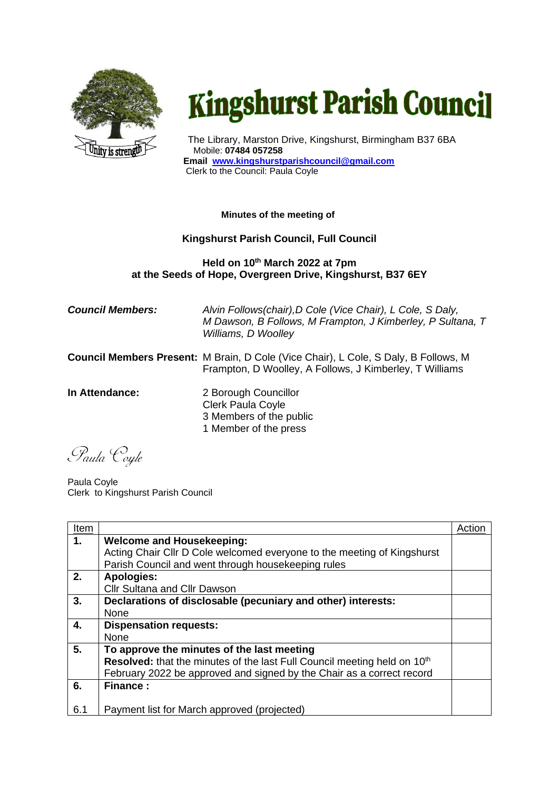

## **Kingshurst Parish Council**

The Library, Marston Drive, Kingshurst, Birmingham B37 6BA Mobile: **07484 057258 Email www.kingshurstparishcouncil@gmail.com** Clerk to the Council: Paula Coyle

## **Minutes of the meeting of**

## **Kingshurst Parish Council, Full Council**

## **Held on 10th March 2022 at 7pm at the Seeds of Hope, Overgreen Drive, Kingshurst, B37 6EY**

*Council Members: Alvin Follows(chair),D Cole (Vice Chair), L Cole, S Daly, M Dawson, B Follows, M Frampton, J Kimberley, P Sultana, T Williams, D Woolley* **Council Members Present:** M Brain, D Cole (Vice Chair), L Cole, S Daly, B Follows, M Frampton, D Woolley, A Follows, J Kimberley, T Williams **In Attendance:** 2 Borough Councillor Clerk Paula Coyle 3 Members of the public 1 Member of the press

Paula Coyle

Paula Coyle Clerk to Kingshurst Parish Council

| Item |                                                                                      | Action |
|------|--------------------------------------------------------------------------------------|--------|
| 1.   | <b>Welcome and Housekeeping:</b>                                                     |        |
|      | Acting Chair Cllr D Cole welcomed everyone to the meeting of Kingshurst              |        |
|      | Parish Council and went through housekeeping rules                                   |        |
| 2.   | <b>Apologies:</b>                                                                    |        |
|      | Cllr Sultana and Cllr Dawson                                                         |        |
| 3.   | Declarations of disclosable (pecuniary and other) interests:                         |        |
|      | None                                                                                 |        |
| 4.   | <b>Dispensation requests:</b>                                                        |        |
|      | None                                                                                 |        |
| 5.   | To approve the minutes of the last meeting                                           |        |
|      | Resolved: that the minutes of the last Full Council meeting held on 10 <sup>th</sup> |        |
|      | February 2022 be approved and signed by the Chair as a correct record                |        |
| 6.   | <b>Finance:</b>                                                                      |        |
|      |                                                                                      |        |
| 6.1  | Payment list for March approved (projected)                                          |        |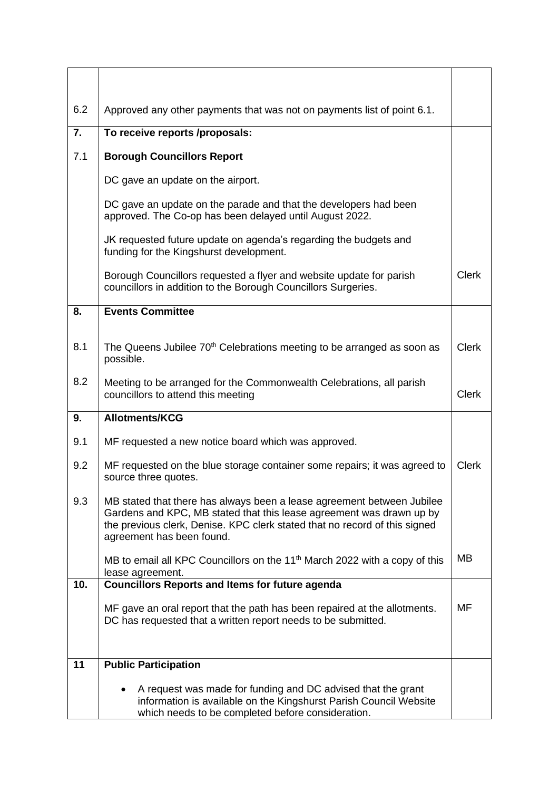| 6.2              | Approved any other payments that was not on payments list of point 6.1.                                                                                                                                                                                   |              |
|------------------|-----------------------------------------------------------------------------------------------------------------------------------------------------------------------------------------------------------------------------------------------------------|--------------|
| $\overline{7}$ . | To receive reports /proposals:                                                                                                                                                                                                                            |              |
| 7.1              | <b>Borough Councillors Report</b>                                                                                                                                                                                                                         |              |
|                  | DC gave an update on the airport.                                                                                                                                                                                                                         |              |
|                  | DC gave an update on the parade and that the developers had been<br>approved. The Co-op has been delayed until August 2022.                                                                                                                               |              |
|                  | JK requested future update on agenda's regarding the budgets and<br>funding for the Kingshurst development.                                                                                                                                               |              |
|                  | Borough Councillors requested a flyer and website update for parish<br>councillors in addition to the Borough Councillors Surgeries.                                                                                                                      | <b>Clerk</b> |
| 8.               | <b>Events Committee</b>                                                                                                                                                                                                                                   |              |
|                  |                                                                                                                                                                                                                                                           |              |
| 8.1              | The Queens Jubilee 70 <sup>th</sup> Celebrations meeting to be arranged as soon as<br>possible.                                                                                                                                                           | <b>Clerk</b> |
| 8.2              | Meeting to be arranged for the Commonwealth Celebrations, all parish<br>councillors to attend this meeting                                                                                                                                                | <b>Clerk</b> |
| 9.               | <b>Allotments/KCG</b>                                                                                                                                                                                                                                     |              |
| 9.1              | MF requested a new notice board which was approved.                                                                                                                                                                                                       |              |
| 9.2              | MF requested on the blue storage container some repairs; it was agreed to<br>source three quotes.                                                                                                                                                         | <b>Clerk</b> |
| 9.3              | MB stated that there has always been a lease agreement between Jubilee<br>Gardens and KPC, MB stated that this lease agreement was drawn up by<br>the previous clerk, Denise. KPC clerk stated that no record of this signed<br>agreement has been found. |              |
|                  | MB to email all KPC Councillors on the 11 <sup>th</sup> March 2022 with a copy of this<br>lease agreement.                                                                                                                                                | <b>MB</b>    |
| 10.              | <b>Councillors Reports and Items for future agenda</b>                                                                                                                                                                                                    |              |
|                  | MF gave an oral report that the path has been repaired at the allotments.<br>DC has requested that a written report needs to be submitted.                                                                                                                | MF           |
| 11               | <b>Public Participation</b>                                                                                                                                                                                                                               |              |
|                  | A request was made for funding and DC advised that the grant<br>information is available on the Kingshurst Parish Council Website<br>which needs to be completed before consideration.                                                                    |              |